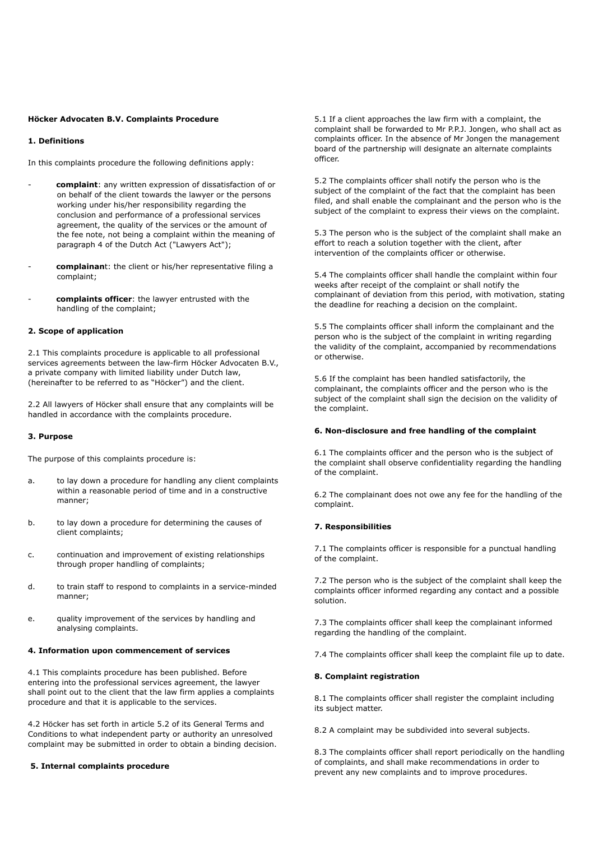### **Höcker Advocaten B.V. Complaints Procedure**

## **1. Definitions**

In this complaints procedure the following definitions apply:

- complaint: any written expression of dissatisfaction of or on behalf of the client towards the lawyer or the persons working under his/her responsibility regarding the conclusion and performance of a professional services agreement, the quality of the services or the amount of the fee note, not being a complaint within the meaning of paragraph 4 of the Dutch Act ("Lawyers Act");
- complainant: the client or his/her representative filing a complaint;
- complaints officer: the lawyer entrusted with the handling of the complaint;

### **2. Scope of application**

2.1 This complaints procedure is applicable to all professional services agreements between the law-firm Höcker Advocaten B.V., a private company with limited liability under Dutch law, (hereinafter to be referred to as "Höcker") and the client.

2.2 All lawyers of Höcker shall ensure that any complaints will be handled in accordance with the complaints procedure.

### **3. Purpose**

The purpose of this complaints procedure is:

- a. to lay down a procedure for handling any client complaints within a reasonable period of time and in a constructive manner;
- b. to lay down a procedure for determining the causes of client complaints;
- c. continuation and improvement of existing relationships through proper handling of complaints;
- d. to train staff to respond to complaints in a service-minded manner;
- e. quality improvement of the services by handling and analysing complaints.

# **4. Information upon commencement of services**

4.1 This complaints procedure has been published. Before entering into the professional services agreement, the lawyer shall point out to the client that the law firm applies a complaints procedure and that it is applicable to the services.

4.2 Höcker has set forth in article 5.2 of its General Terms and Conditions to what independent party or authority an unresolved complaint may be submitted in order to obtain a binding decision.

### **5. Internal complaints procedure**

5.1 If a client approaches the law firm with a complaint, the complaint shall be forwarded to Mr P.P.J. Jongen, who shall act as complaints officer. In the absence of Mr Jongen the management board of the partnership will designate an alternate complaints officer.

5.2 The complaints officer shall notify the person who is the subject of the complaint of the fact that the complaint has been filed, and shall enable the complainant and the person who is the subject of the complaint to express their views on the complaint.

5.3 The person who is the subject of the complaint shall make an effort to reach a solution together with the client, after intervention of the complaints officer or otherwise.

5.4 The complaints officer shall handle the complaint within four weeks after receipt of the complaint or shall notify the complainant of deviation from this period, with motivation, stating the deadline for reaching a decision on the complaint.

5.5 The complaints officer shall inform the complainant and the person who is the subject of the complaint in writing regarding the validity of the complaint, accompanied by recommendations or otherwise.

5.6 If the complaint has been handled satisfactorily, the complainant, the complaints officer and the person who is the subject of the complaint shall sign the decision on the validity of the complaint.

### **6. Non-disclosure and free handling of the complaint**

6.1 The complaints officer and the person who is the subject of the complaint shall observe confidentiality regarding the handling of the complaint.

6.2 The complainant does not owe any fee for the handling of the complaint.

## **7. Responsibilities**

7.1 The complaints officer is responsible for a punctual handling of the complaint.

7.2 The person who is the subject of the complaint shall keep the complaints officer informed regarding any contact and a possible solution.

7.3 The complaints officer shall keep the complainant informed regarding the handling of the complaint.

7.4 The complaints officer shall keep the complaint file up to date.

## **8. Complaint registration**

8.1 The complaints officer shall register the complaint including its subject matter.

8.2 A complaint may be subdivided into several subjects.

8.3 The complaints officer shall report periodically on the handling of complaints, and shall make recommendations in order to prevent any new complaints and to improve procedures.